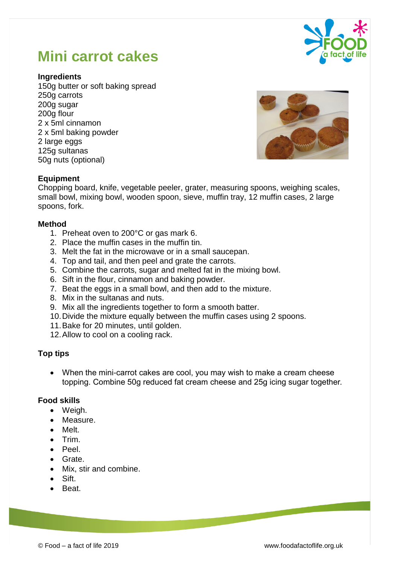#### © Food – a fact of life 2019 www.foodafactoflife.org.uk

# **Mini carrot cakes**

## **Ingredients**

150g butter or soft baking spread 250g carrots 200g sugar 200g flour 2 x 5ml cinnamon 2 x 5ml baking powder 2 large eggs 125g sultanas 50g nuts (optional)

**Equipment** Chopping board, knife, vegetable peeler, grater, measuring spoons, weighing scales, small bowl, mixing bowl, wooden spoon, sieve, muffin tray, 12 muffin cases, 2 large spoons, fork.

### **Method**

- 1. Preheat oven to 200°C or gas mark 6.
- 2. Place the muffin cases in the muffin tin.
- 3. Melt the fat in the microwave or in a small saucepan.
- 4. Top and tail, and then peel and grate the carrots.
- 5. Combine the carrots, sugar and melted fat in the mixing bowl.
- 6. Sift in the flour, cinnamon and baking powder.
- 7. Beat the eggs in a small bowl, and then add to the mixture.
- 8. Mix in the sultanas and nuts.
- 9. Mix all the ingredients together to form a smooth batter.
- 10.Divide the mixture equally between the muffin cases using 2 spoons.
- 11.Bake for 20 minutes, until golden.
- 12.Allow to cool on a cooling rack.

# **Top tips**

 When the mini-carrot cakes are cool, you may wish to make a cream cheese topping. Combine 50g reduced fat cream cheese and 25g icing sugar together.

# **Food skills**

- Weigh.
- Measure.
- Melt.
- $\bullet$  Trim.
- Peel.
- Grate.
- Mix, stir and combine.
- Sift.
- Beat.